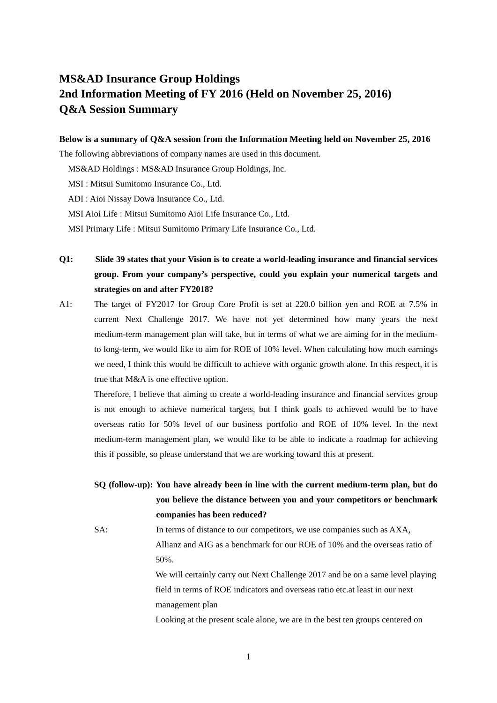# **MS&AD Insurance Group Holdings 2nd Information Meeting of FY 2016 (Held on November 25, 2016) Q&A Session Summary**

#### **Below is a summary of Q&A session from the Information Meeting held on November 25, 2016**

The following abbreviations of company names are used in this document.

MS&AD Holdings : MS&AD Insurance Group Holdings, Inc.

MSI : Mitsui Sumitomo Insurance Co., Ltd.

ADI : Aioi Nissay Dowa Insurance Co., Ltd.

MSI Aioi Life : Mitsui Sumitomo Aioi Life Insurance Co., Ltd.

MSI Primary Life : Mitsui Sumitomo Primary Life Insurance Co., Ltd.

**Q1: Slide 39 states that your Vision is to create a world-leading insurance and financial services group. From your company's perspective, could you explain your numerical targets and strategies on and after FY2018?** 

A1: The target of FY2017 for Group Core Profit is set at 220.0 billion yen and ROE at 7.5% in current Next Challenge 2017. We have not yet determined how many years the next medium-term management plan will take, but in terms of what we are aiming for in the mediumto long-term, we would like to aim for ROE of 10% level. When calculating how much earnings we need, I think this would be difficult to achieve with organic growth alone. In this respect, it is true that M&A is one effective option.

Therefore, I believe that aiming to create a world-leading insurance and financial services group is not enough to achieve numerical targets, but I think goals to achieved would be to have overseas ratio for 50% level of our business portfolio and ROE of 10% level. In the next medium-term management plan, we would like to be able to indicate a roadmap for achieving this if possible, so please understand that we are working toward this at present.

**SQ (follow-up): You have already been in line with the current medium-term plan, but do you believe the distance between you and your competitors or benchmark companies has been reduced?** 

SA: In terms of distance to our competitors, we use companies such as AXA, Allianz and AIG as a benchmark for our ROE of 10% and the overseas ratio of 50%. We will certainly carry out Next Challenge 2017 and be on a same level playing

field in terms of ROE indicators and overseas ratio etc.at least in our next management plan

Looking at the present scale alone, we are in the best ten groups centered on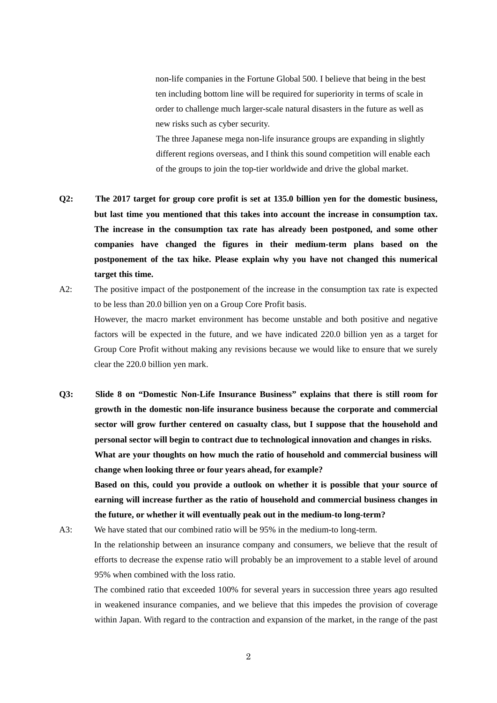non-life companies in the Fortune Global 500. I believe that being in the best ten including bottom line will be required for superiority in terms of scale in order to challenge much larger-scale natural disasters in the future as well as new risks such as cyber security.

The three Japanese mega non-life insurance groups are expanding in slightly different regions overseas, and I think this sound competition will enable each of the groups to join the top-tier worldwide and drive the global market.

- **Q2: The 2017 target for group core profit is set at 135.0 billion yen for the domestic business, but last time you mentioned that this takes into account the increase in consumption tax. The increase in the consumption tax rate has already been postponed, and some other companies have changed the figures in their medium-term plans based on the postponement of the tax hike. Please explain why you have not changed this numerical target this time.**
- A2: The positive impact of the postponement of the increase in the consumption tax rate is expected to be less than 20.0 billion yen on a Group Core Profit basis. However, the macro market environment has become unstable and both positive and negative factors will be expected in the future, and we have indicated 220.0 billion yen as a target for Group Core Profit without making any revisions because we would like to ensure that we surely clear the 220.0 billion yen mark.
- **Q3: Slide 8 on "Domestic Non-Life Insurance Business" explains that there is still room for growth in the domestic non-life insurance business because the corporate and commercial sector will grow further centered on casualty class, but I suppose that the household and personal sector will begin to contract due to technological innovation and changes in risks. What are your thoughts on how much the ratio of household and commercial business will change when looking three or four years ahead, for example? Based on this, could you provide a outlook on whether it is possible that your source of earning will increase further as the ratio of household and commercial business changes in the future, or whether it will eventually peak out in the medium-to long-term?**

A3: We have stated that our combined ratio will be 95% in the medium-to long-term.

In the relationship between an insurance company and consumers, we believe that the result of efforts to decrease the expense ratio will probably be an improvement to a stable level of around 95% when combined with the loss ratio.

The combined ratio that exceeded 100% for several years in succession three years ago resulted in weakened insurance companies, and we believe that this impedes the provision of coverage within Japan. With regard to the contraction and expansion of the market, in the range of the past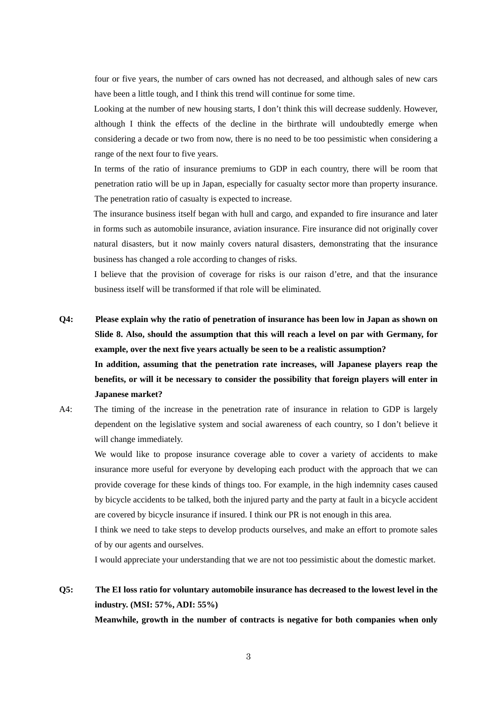four or five years, the number of cars owned has not decreased, and although sales of new cars have been a little tough, and I think this trend will continue for some time.

Looking at the number of new housing starts, I don't think this will decrease suddenly. However, although I think the effects of the decline in the birthrate will undoubtedly emerge when considering a decade or two from now, there is no need to be too pessimistic when considering a range of the next four to five years.

In terms of the ratio of insurance premiums to GDP in each country, there will be room that penetration ratio will be up in Japan, especially for casualty sector more than property insurance. The penetration ratio of casualty is expected to increase.

The insurance business itself began with hull and cargo, and expanded to fire insurance and later in forms such as automobile insurance, aviation insurance. Fire insurance did not originally cover natural disasters, but it now mainly covers natural disasters, demonstrating that the insurance business has changed a role according to changes of risks.

I believe that the provision of coverage for risks is our raison d'etre, and that the insurance business itself will be transformed if that role will be eliminated.

**Q4: Please explain why the ratio of penetration of insurance has been low in Japan as shown on Slide 8. Also, should the assumption that this will reach a level on par with Germany, for example, over the next five years actually be seen to be a realistic assumption? In addition, assuming that the penetration rate increases, will Japanese players reap the benefits, or will it be necessary to consider the possibility that foreign players will enter in** 

**Japanese market?** 

A4: The timing of the increase in the penetration rate of insurance in relation to GDP is largely dependent on the legislative system and social awareness of each country, so I don't believe it will change immediately.

We would like to propose insurance coverage able to cover a variety of accidents to make insurance more useful for everyone by developing each product with the approach that we can provide coverage for these kinds of things too. For example, in the high indemnity cases caused by bicycle accidents to be talked, both the injured party and the party at fault in a bicycle accident are covered by bicycle insurance if insured. I think our PR is not enough in this area.

I think we need to take steps to develop products ourselves, and make an effort to promote sales of by our agents and ourselves.

I would appreciate your understanding that we are not too pessimistic about the domestic market.

### **Q5: The EI loss ratio for voluntary automobile insurance has decreased to the lowest level in the industry. (MSI: 57%, ADI: 55%)**

**Meanwhile, growth in the number of contracts is negative for both companies when only**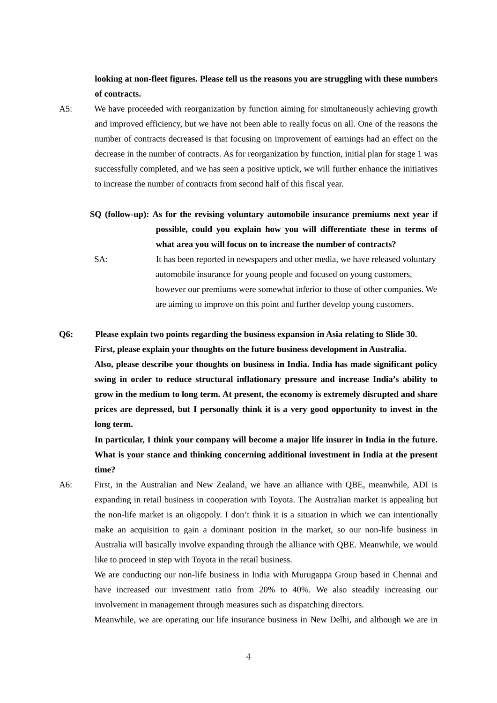**looking at non-fleet figures. Please tell us the reasons you are struggling with these numbers of contracts.** 

- A5: We have proceeded with reorganization by function aiming for simultaneously achieving growth and improved efficiency, but we have not been able to really focus on all. One of the reasons the number of contracts decreased is that focusing on improvement of earnings had an effect on the decrease in the number of contracts. As for reorganization by function, initial plan for stage 1 was successfully completed, and we has seen a positive uptick, we will further enhance the initiatives to increase the number of contracts from second half of this fiscal year.
	- **SQ (follow-up): As for the revising voluntary automobile insurance premiums next year if possible, could you explain how you will differentiate these in terms of what area you will focus on to increase the number of contracts?** 
		- SA: It has been reported in newspapers and other media, we have released voluntary automobile insurance for young people and focused on young customers, however our premiums were somewhat inferior to those of other companies. We are aiming to improve on this point and further develop young customers.
- **Q6: Please explain two points regarding the business expansion in Asia relating to Slide 30. First, please explain your thoughts on the future business development in Australia. Also, please describe your thoughts on business in India. India has made significant policy swing in order to reduce structural inflationary pressure and increase India's ability to grow in the medium to long term. At present, the economy is extremely disrupted and share prices are depressed, but I personally think it is a very good opportunity to invest in the long term.**

**In particular, I think your company will become a major life insurer in India in the future. What is your stance and thinking concerning additional investment in India at the present time?** 

A6: First, in the Australian and New Zealand, we have an alliance with QBE, meanwhile, ADI is expanding in retail business in cooperation with Toyota. The Australian market is appealing but the non-life market is an oligopoly. I don't think it is a situation in which we can intentionally make an acquisition to gain a dominant position in the market, so our non-life business in Australia will basically involve expanding through the alliance with QBE. Meanwhile, we would like to proceed in step with Toyota in the retail business.

 We are conducting our non-life business in India with Murugappa Group based in Chennai and have increased our investment ratio from 20% to 40%. We also steadily increasing our involvement in management through measures such as dispatching directors.

Meanwhile, we are operating our life insurance business in New Delhi, and although we are in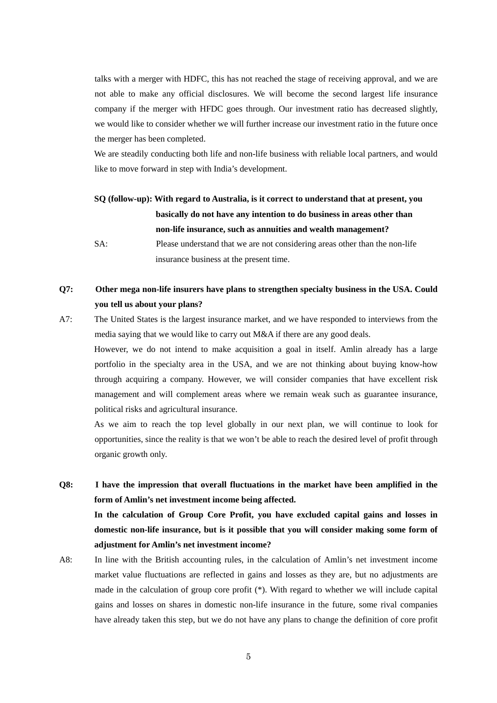talks with a merger with HDFC, this has not reached the stage of receiving approval, and we are not able to make any official disclosures. We will become the second largest life insurance company if the merger with HFDC goes through. Our investment ratio has decreased slightly, we would like to consider whether we will further increase our investment ratio in the future once the merger has been completed.

We are steadily conducting both life and non-life business with reliable local partners, and would like to move forward in step with India's development.

# **SQ (follow-up): With regard to Australia, is it correct to understand that at present, you basically do not have any intention to do business in areas other than non-life insurance, such as annuities and wealth management?**

 SA: Please understand that we are not considering areas other than the non-life insurance business at the present time.

### **Q7: Other mega non-life insurers have plans to strengthen specialty business in the USA. Could you tell us about your plans?**

A7: The United States is the largest insurance market, and we have responded to interviews from the media saying that we would like to carry out M&A if there are any good deals.

However, we do not intend to make acquisition a goal in itself. Amlin already has a large portfolio in the specialty area in the USA, and we are not thinking about buying know-how through acquiring a company. However, we will consider companies that have excellent risk management and will complement areas where we remain weak such as guarantee insurance, political risks and agricultural insurance.

As we aim to reach the top level globally in our next plan, we will continue to look for opportunities, since the reality is that we won't be able to reach the desired level of profit through organic growth only.

**Q8: I have the impression that overall fluctuations in the market have been amplified in the form of Amlin's net investment income being affected. In the calculation of Group Core Profit, you have excluded capital gains and losses in domestic non-life insurance, but is it possible that you will consider making some form of adjustment for Amlin's net investment income?** 

A8: In line with the British accounting rules, in the calculation of Amlin's net investment income market value fluctuations are reflected in gains and losses as they are, but no adjustments are made in the calculation of group core profit (\*). With regard to whether we will include capital gains and losses on shares in domestic non-life insurance in the future, some rival companies have already taken this step, but we do not have any plans to change the definition of core profit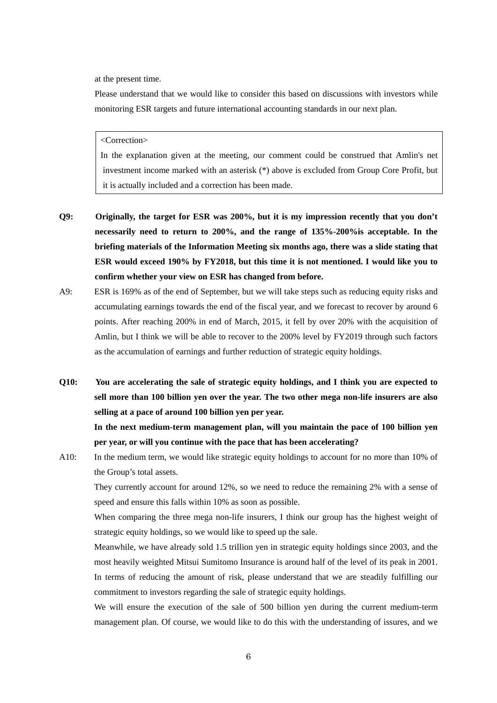at the present time.

Please understand that we would like to consider this based on discussions with investors while monitoring ESR targets and future international accounting standards in our next plan.

#### <Correction>

In the explanation given at the meeting, our comment could be construed that Amlin's net investment income marked with an asterisk (\*) above is excluded from Group Core Profit, but it is actually included and a correction has been made.

- **Q9: Originally, the target for ESR was 200%, but it is my impression recently that you don't necessarily need to return to 200%, and the range of 135%-200%is acceptable. In the briefing materials of the Information Meeting six months ago, there was a slide stating that ESR would exceed 190% by FY2018, but this time it is not mentioned. I would like you to confirm whether your view on ESR has changed from before.**
- A9: ESR is 169% as of the end of September, but we will take steps such as reducing equity risks and accumulating earnings towards the end of the fiscal year, and we forecast to recover by around 6 points. After reaching 200% in end of March, 2015, it fell by over 20% with the acquisition of Amlin, but I think we will be able to recover to the 200% level by FY2019 through such factors as the accumulation of earnings and further reduction of strategic equity holdings.
- **Q10: You are accelerating the sale of strategic equity holdings, and I think you are expected to sell more than 100 billion yen over the year. The two other mega non-life insurers are also selling at a pace of around 100 billion yen per year. In the next medium-term management plan, will you maintain the pace of 100 billion yen per year, or will you continue with the pace that has been accelerating?**
- A10: In the medium term, we would like strategic equity holdings to account for no more than 10% of the Group's total assets.

They currently account for around 12%, so we need to reduce the remaining 2% with a sense of speed and ensure this falls within 10% as soon as possible.

When comparing the three mega non-life insurers, I think our group has the highest weight of strategic equity holdings, so we would like to speed up the sale.

Meanwhile, we have already sold 1.5 trillion yen in strategic equity holdings since 2003, and the most heavily weighted Mitsui Sumitomo Insurance is around half of the level of its peak in 2001. In terms of reducing the amount of risk, please understand that we are steadily fulfilling our commitment to investors regarding the sale of strategic equity holdings.

We will ensure the execution of the sale of 500 billion yen during the current medium-term management plan. Of course, we would like to do this with the understanding of issures, and we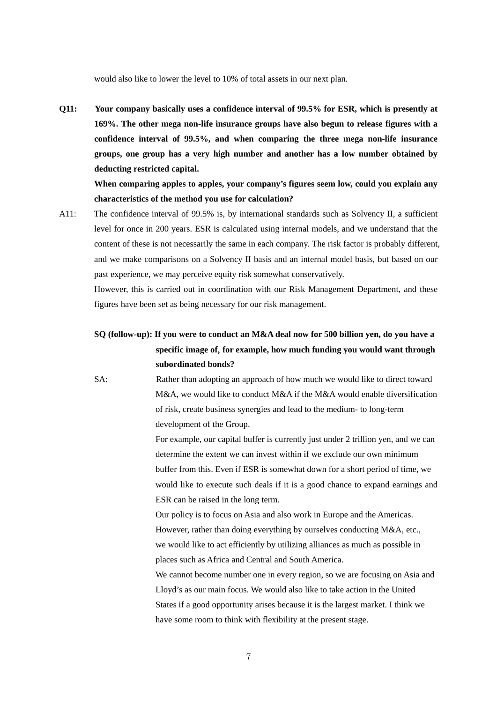would also like to lower the level to 10% of total assets in our next plan.

**Q11: Your company basically uses a confidence interval of 99.5% for ESR, which is presently at 169%. The other mega non-life insurance groups have also begun to release figures with a confidence interval of 99.5%, and when comparing the three mega non-life insurance groups, one group has a very high number and another has a low number obtained by deducting restricted capital.** 

**When comparing apples to apples, your company's figures seem low, could you explain any characteristics of the method you use for calculation?** 

A11: The confidence interval of 99.5% is, by international standards such as Solvency II, a sufficient level for once in 200 years. ESR is calculated using internal models, and we understand that the content of these is not necessarily the same in each company. The risk factor is probably different, and we make comparisons on a Solvency II basis and an internal model basis, but based on our past experience, we may perceive equity risk somewhat conservatively.

However, this is carried out in coordination with our Risk Management Department, and these figures have been set as being necessary for our risk management.

## **SQ (follow-up): If you were to conduct an M&A deal now for 500 billion yen, do you have a specific image of**, **for example, how much funding you would want through subordinated bonds?**

 SA: Rather than adopting an approach of how much we would like to direct toward M&A, we would like to conduct M&A if the M&A would enable diversification of risk, create business synergies and lead to the medium- to long-term development of the Group.

> For example, our capital buffer is currently just under 2 trillion yen, and we can determine the extent we can invest within if we exclude our own minimum buffer from this. Even if ESR is somewhat down for a short period of time, we would like to execute such deals if it is a good chance to expand earnings and ESR can be raised in the long term.

Our policy is to focus on Asia and also work in Europe and the Americas. However, rather than doing everything by ourselves conducting M&A, etc., we would like to act efficiently by utilizing alliances as much as possible in places such as Africa and Central and South America.

We cannot become number one in every region, so we are focusing on Asia and Lloyd's as our main focus. We would also like to take action in the United States if a good opportunity arises because it is the largest market. I think we have some room to think with flexibility at the present stage.

7